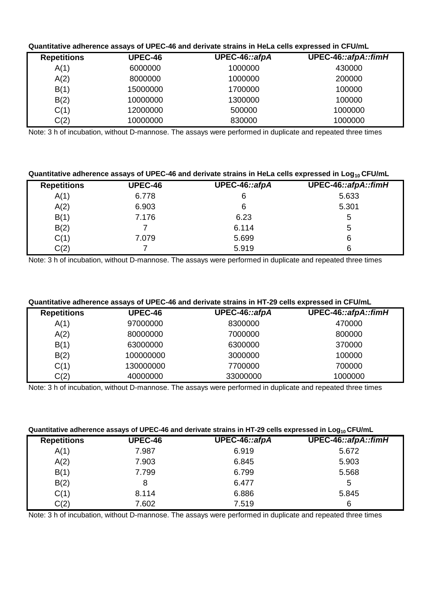## **Quantitative adherence assays of UPEC-46 and derivate strains in HeLa cells expressed in CFU/mL**

| <b>Repetitions</b> | <b>UPEC-46</b> | UPEC-46::afpA | UPEC-46::afpA::fimH |
|--------------------|----------------|---------------|---------------------|
| A(1)               | 6000000        | 1000000       | 430000              |
| A(2)               | 8000000        | 1000000       | 200000              |
| B(1)               | 15000000       | 1700000       | 100000              |
| B(2)               | 10000000       | 1300000       | 100000              |
| C(1)               | 12000000       | 500000        | 1000000             |
| C(2)               | 10000000       | 830000        | 1000000             |

Note: 3 h of incubation, without D-mannose. The assays were performed in duplicate and repeated three times

## **Quantitative adherence assays of UPEC-46 and derivate strains in HeLa cells expressed in Log10 CFU/mL**

| <b>Repetitions</b> | <b>UPEC-46</b> | UPEC-46::afpA | UPEC-46::afpA::fimH |
|--------------------|----------------|---------------|---------------------|
| A(1)               | 6.778          | 6             | 5.633               |
| A(2)               | 6.903          | 6             | 5.301               |
| B(1)               | 7.176          | 6.23          | 5                   |
| B(2)               |                | 6.114         | 5                   |
| C(1)               | 7.079          | 5.699         | 6                   |
| C(2)               |                | 5.919         | 6                   |

Note: 3 h of incubation, without D-mannose. The assays were performed in duplicate and repeated three times

## **Quantitative adherence assays of UPEC-46 and derivate strains in HT-29 cells expressed in CFU/mL**

| <b>Repetitions</b> | <b>UPEC-46</b> | UPEC-46::afpA | UPEC-46::afpA::fimH |
|--------------------|----------------|---------------|---------------------|
| A(1)               | 97000000       | 8300000       | 470000              |
| A(2)               | 80000000       | 7000000       | 800000              |
| B(1)               | 63000000       | 6300000       | 370000              |
| B(2)               | 100000000      | 3000000       | 100000              |
| C(1)               | 130000000      | 7700000       | 700000              |
| C(2)               | 40000000       | 33000000      | 1000000             |

Note: 3 h of incubation, without D-mannose. The assays were performed in duplicate and repeated three times

#### **Quantitative adherence assays of UPEC-46 and derivate strains in HT-29 cells expressed in Log10 CFU/mL**

| <b>UPEC-46</b> | UPEC-46::afpA | UPEC-46::afpA::fimH |
|----------------|---------------|---------------------|
| 7.987          | 6.919         | 5.672               |
| 7.903          | 6.845         | 5.903               |
| 7.799          | 6.799         | 5.568               |
| 8              | 6.477         | 5                   |
| 8.114          | 6.886         | 5.845               |
| 7.602          | 7.519         | 6                   |
|                |               |                     |

Note: 3 h of incubation, without D-mannose. The assays were performed in duplicate and repeated three times